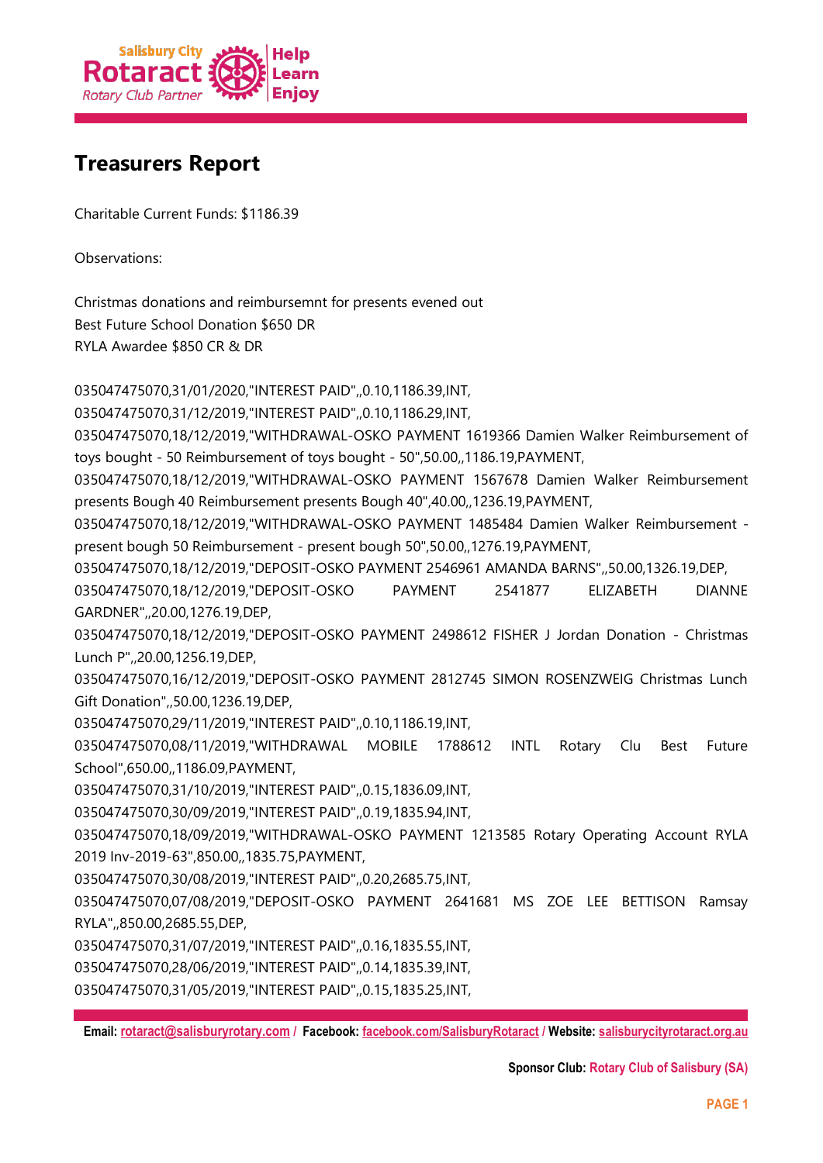

## **Treasurers Report**

Charitable Current Funds: \$1186.39

Observations:

Christmas donations and reimbursemnt for presents evened out Best Future School Donation \$650 DR RYLA Awardee \$850 CR & DR

035047475070,31/01/2020,"INTEREST PAID",,0.10,1186.39,INT,

035047475070,31/12/2019,"INTEREST PAID",,0.10,1186.29,INT,

035047475070,18/12/2019,"WITHDRAWAL-OSKO PAYMENT 1619366 Damien Walker Reimbursement of toys bought - 50 Reimbursement of toys bought - 50",50.00,,1186.19,PAYMENT,

035047475070,18/12/2019,"WITHDRAWAL-OSKO PAYMENT 1567678 Damien Walker Reimbursement presents Bough 40 Reimbursement presents Bough 40",40.00,,1236.19,PAYMENT,

035047475070,18/12/2019,"WITHDRAWAL-OSKO PAYMENT 1485484 Damien Walker Reimbursement present bough 50 Reimbursement - present bough 50",50.00,,1276.19,PAYMENT,

035047475070,18/12/2019,"DEPOSIT-OSKO PAYMENT 2546961 AMANDA BARNS",,50.00,1326.19,DEP,

035047475070,18/12/2019,"DEPOSIT-OSKO PAYMENT 2541877 ELIZABETH DIANNE GARDNER",,20.00,1276.19,DEP,

035047475070,18/12/2019,"DEPOSIT-OSKO PAYMENT 2498612 FISHER J Jordan Donation - Christmas Lunch P",,20.00,1256.19,DEP,

035047475070,16/12/2019,"DEPOSIT-OSKO PAYMENT 2812745 SIMON ROSENZWEIG Christmas Lunch Gift Donation",,50.00,1236.19,DEP,

035047475070,29/11/2019,"INTEREST PAID",,0.10,1186.19,INT,

035047475070,08/11/2019,"WITHDRAWAL MOBILE 1788612 INTL Rotary Clu Best Future School",650.00,,1186.09,PAYMENT,

035047475070,31/10/2019,"INTEREST PAID",,0.15,1836.09,INT,

035047475070,30/09/2019,"INTEREST PAID",,0.19,1835.94,INT,

035047475070,18/09/2019,"WITHDRAWAL-OSKO PAYMENT 1213585 Rotary Operating Account RYLA 2019 Inv-2019-63",850.00,,1835.75,PAYMENT,

035047475070,30/08/2019,"INTEREST PAID",,0.20,2685.75,INT,

035047475070,07/08/2019,"DEPOSIT-OSKO PAYMENT 2641681 MS ZOE LEE BETTISON Ramsay RYLA",,850.00,2685.55,DEP,

035047475070,31/07/2019,"INTEREST PAID",,0.16,1835.55,INT,

035047475070,28/06/2019,"INTEREST PAID",,0.14,1835.39,INT,

035047475070,31/05/2019,"INTEREST PAID",,0.15,1835.25,INT,

**Email: [rotaract@salisburyrotary.com](mailto:rotaract@salisburyrotary.com) / Facebook[: facebook.com/SalisburyRotaract](file:///E:/facebook.com/SalisburyRotaract) / Website: [salisburycityrotaract.org.au](file:///E:/salisburycityrotaract.org.au)**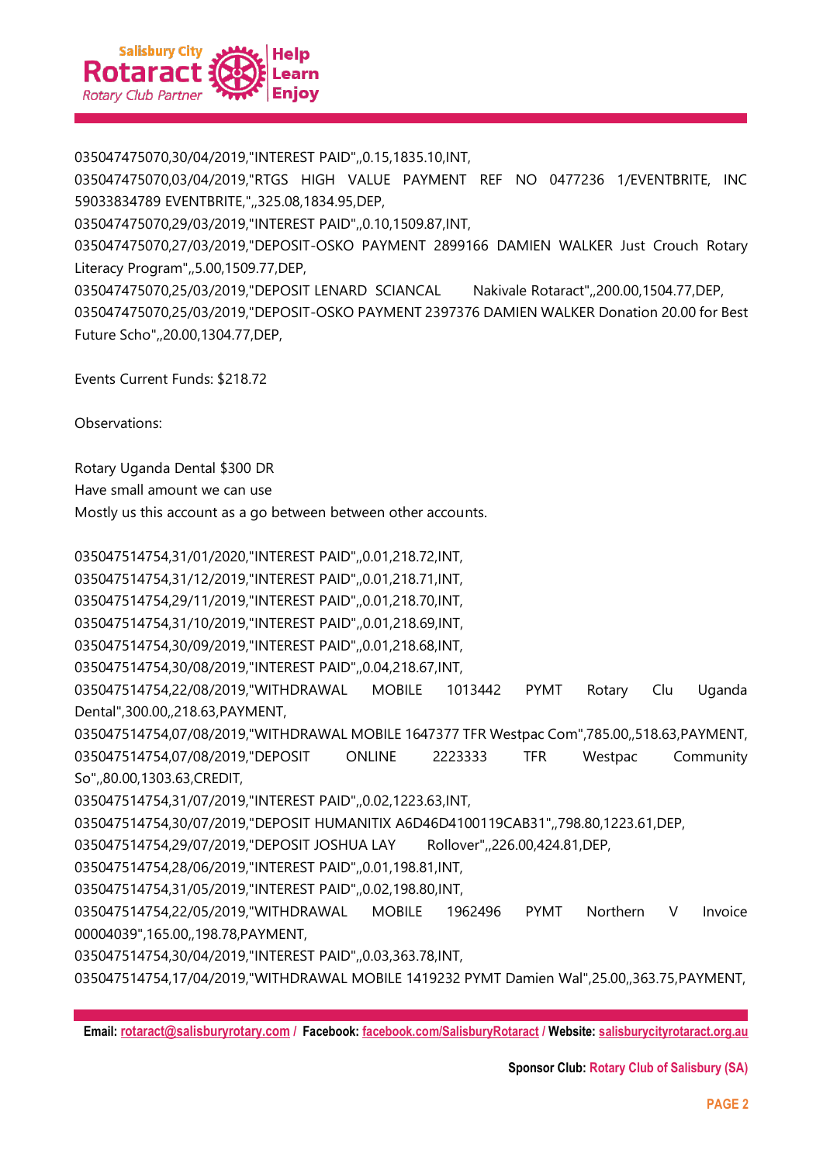

035047475070,30/04/2019,"INTEREST PAID",,0.15,1835.10,INT,

035047475070,03/04/2019,"RTGS HIGH VALUE PAYMENT REF NO 0477236 1/EVENTBRITE, INC 59033834789 EVENTBRITE,",,325.08,1834.95,DEP,

035047475070,29/03/2019,"INTEREST PAID",,0.10,1509.87,INT,

035047475070,27/03/2019,"DEPOSIT-OSKO PAYMENT 2899166 DAMIEN WALKER Just Crouch Rotary Literacy Program",,5.00,1509.77,DEP,

035047475070,25/03/2019,"DEPOSIT LENARD SCIANCAL Nakivale Rotaract",,200.00,1504.77,DEP, 035047475070,25/03/2019,"DEPOSIT-OSKO PAYMENT 2397376 DAMIEN WALKER Donation 20.00 for Best Future Scho",,20.00,1304.77,DEP,

Events Current Funds: \$218.72

Observations:

Rotary Uganda Dental \$300 DR

Have small amount we can use

Mostly us this account as a go between between other accounts.

035047514754,31/01/2020,"INTEREST PAID",,0.01,218.72,INT,

035047514754,31/12/2019,"INTEREST PAID",,0.01,218.71,INT,

035047514754,29/11/2019,"INTEREST PAID",,0.01,218.70,INT,

035047514754,31/10/2019,"INTEREST PAID",,0.01,218.69,INT,

035047514754,30/09/2019,"INTEREST PAID",,0.01,218.68,INT,

035047514754,30/08/2019,"INTEREST PAID",,0.04,218.67,INT,

035047514754,22/08/2019,"WITHDRAWAL MOBILE 1013442 PYMT Rotary Clu Uganda Dental",300.00,,218.63,PAYMENT,

035047514754,07/08/2019,"WITHDRAWAL MOBILE 1647377 TFR Westpac Com",785.00,,518.63,PAYMENT, 035047514754,07/08/2019,"DEPOSIT ONLINE 2223333 TFR Westpac Community

So",,80.00,1303.63,CREDIT,

035047514754,31/07/2019,"INTEREST PAID",,0.02,1223.63,INT,

035047514754,30/07/2019,"DEPOSIT HUMANITIX A6D46D4100119CAB31",,798.80,1223.61,DEP,

035047514754,29/07/2019,"DEPOSIT JOSHUA LAY Rollover",,226.00,424.81,DEP,

035047514754,28/06/2019,"INTEREST PAID",,0.01,198.81,INT,

035047514754,31/05/2019,"INTEREST PAID",,0.02,198.80,INT,

035047514754,22/05/2019,"WITHDRAWAL MOBILE 1962496 PYMT Northern V Invoice 00004039",165.00,,198.78,PAYMENT,

035047514754,30/04/2019,"INTEREST PAID",,0.03,363.78,INT,

035047514754,17/04/2019,"WITHDRAWAL MOBILE 1419232 PYMT Damien Wal",25.00,,363.75,PAYMENT,

**Email: [rotaract@salisburyrotary.com](mailto:rotaract@salisburyrotary.com) / Facebook[: facebook.com/SalisburyRotaract](file:///E:/facebook.com/SalisburyRotaract) / Website: [salisburycityrotaract.org.au](file:///E:/salisburycityrotaract.org.au)**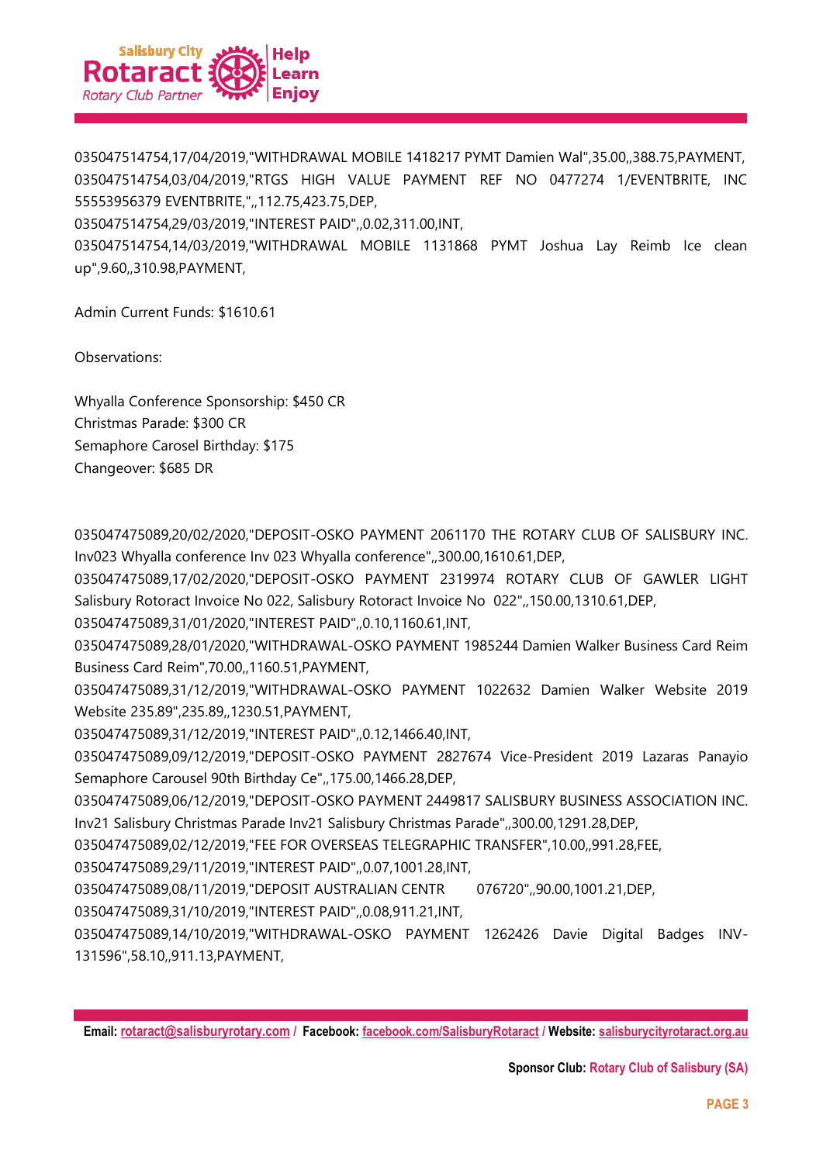

035047514754,17/04/2019,"WITHDRAWAL MOBILE 1418217 PYMT Damien Wal",35.00,,388.75,PAYMENT, 035047514754,03/04/2019,"RTGS HIGH VALUE PAYMENT REF NO 0477274 1/EVENTBRITE, INC 55553956379 EVENTBRITE,",,112.75,423.75,DEP,

035047514754,29/03/2019,"INTEREST PAID",,0.02,311.00,INT,

035047514754,14/03/2019,"WITHDRAWAL MOBILE 1131868 PYMT Joshua Lay Reimb Ice clean up",9.60,,310.98,PAYMENT,

Admin Current Funds: \$1610.61

Observations:

Whyalla Conference Sponsorship: \$450 CR Christmas Parade: \$300 CR Semaphore Carosel Birthday: \$175 Changeover: \$685 DR

035047475089,20/02/2020,"DEPOSIT-OSKO PAYMENT 2061170 THE ROTARY CLUB OF SALISBURY INC. Inv023 Whyalla conference Inv 023 Whyalla conference",,300.00,1610.61,DEP,

035047475089,17/02/2020,"DEPOSIT-OSKO PAYMENT 2319974 ROTARY CLUB OF GAWLER LIGHT Salisbury Rotoract Invoice No 022, Salisbury Rotoract Invoice No 022",,150.00,1310.61,DEP,

035047475089,31/01/2020,"INTEREST PAID",,0.10,1160.61,INT,

035047475089,28/01/2020,"WITHDRAWAL-OSKO PAYMENT 1985244 Damien Walker Business Card Reim Business Card Reim",70.00,,1160.51,PAYMENT,

035047475089,31/12/2019,"WITHDRAWAL-OSKO PAYMENT 1022632 Damien Walker Website 2019 Website 235.89",235.89,,1230.51,PAYMENT,

035047475089,31/12/2019,"INTEREST PAID",,0.12,1466.40,INT,

035047475089,09/12/2019,"DEPOSIT-OSKO PAYMENT 2827674 Vice-President 2019 Lazaras Panayio Semaphore Carousel 90th Birthday Ce",,175.00,1466.28,DEP,

035047475089,06/12/2019,"DEPOSIT-OSKO PAYMENT 2449817 SALISBURY BUSINESS ASSOCIATION INC. Inv21 Salisbury Christmas Parade Inv21 Salisbury Christmas Parade",,300.00,1291.28,DEP,

035047475089,02/12/2019,"FEE FOR OVERSEAS TELEGRAPHIC TRANSFER",10.00,,991.28,FEE,

035047475089,29/11/2019,"INTEREST PAID",,0.07,1001.28,INT,

035047475089,08/11/2019,"DEPOSIT AUSTRALIAN CENTR 076720",,90.00,1001.21,DEP,

035047475089,31/10/2019,"INTEREST PAID",,0.08,911.21,INT,

035047475089,14/10/2019,"WITHDRAWAL-OSKO PAYMENT 1262426 Davie Digital Badges INV-131596",58.10,,911.13,PAYMENT,

**Email: [rotaract@salisburyrotary.com](mailto:rotaract@salisburyrotary.com) / Facebook[: facebook.com/SalisburyRotaract](file:///E:/facebook.com/SalisburyRotaract) / Website: [salisburycityrotaract.org.au](file:///E:/salisburycityrotaract.org.au)**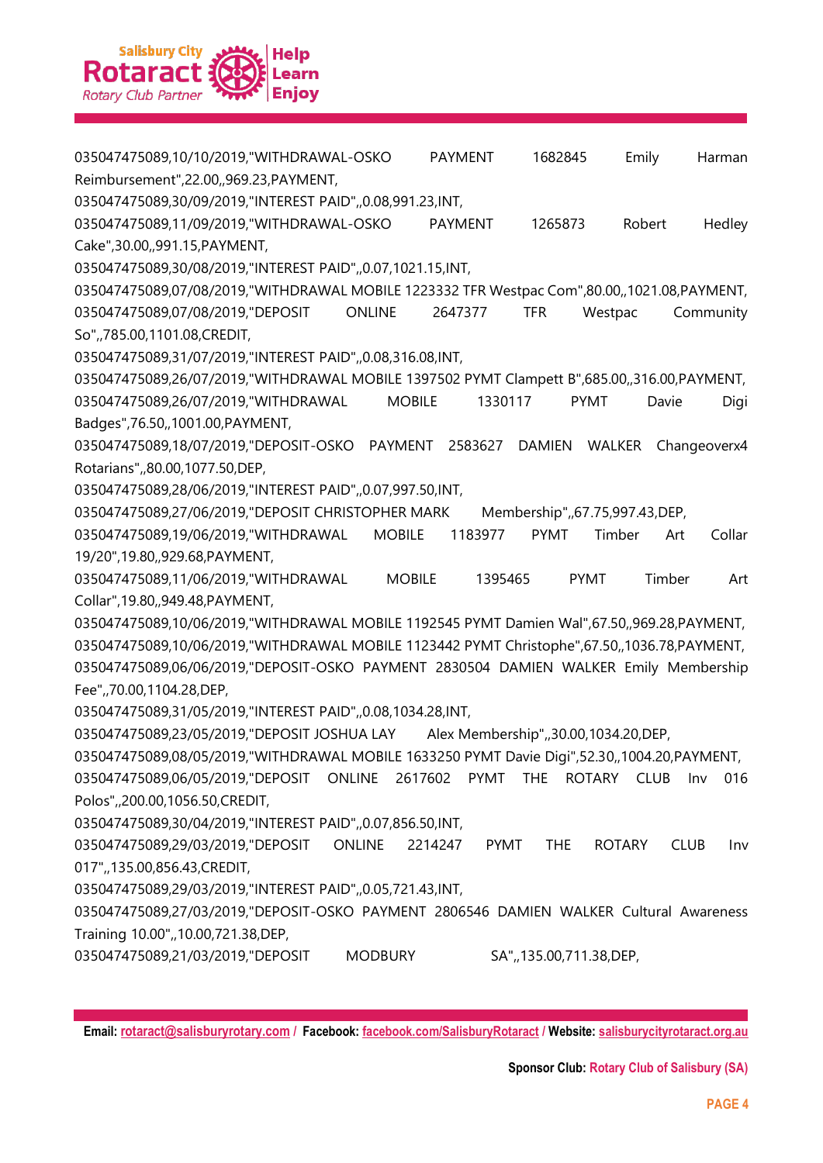

035047475089,10/10/2019,"WITHDRAWAL-OSKO PAYMENT 1682845 Emily Harman Reimbursement",22.00,,969.23,PAYMENT,

035047475089,30/09/2019,"INTEREST PAID",,0.08,991.23,INT,

035047475089,11/09/2019,"WITHDRAWAL-OSKO PAYMENT 1265873 Robert Hedley Cake",30.00,,991.15,PAYMENT,

035047475089,30/08/2019,"INTEREST PAID",,0.07,1021.15,INT,

035047475089,07/08/2019,"WITHDRAWAL MOBILE 1223332 TFR Westpac Com",80.00,,1021.08,PAYMENT, 035047475089,07/08/2019,"DEPOSIT ONLINE 2647377 TFR Westpac Community So",,785.00,1101.08,CREDIT,

035047475089,31/07/2019,"INTEREST PAID",,0.08,316.08,INT,

035047475089,26/07/2019,"WITHDRAWAL MOBILE 1397502 PYMT Clampett B",685.00,,316.00,PAYMENT,

035047475089,26/07/2019,"WITHDRAWAL MOBILE 1330117 PYMT Davie Digi Badges",76.50,,1001.00,PAYMENT,

035047475089,18/07/2019,"DEPOSIT-OSKO PAYMENT 2583627 DAMIEN WALKER Changeoverx4 Rotarians",,80.00,1077.50,DEP,

035047475089,28/06/2019,"INTEREST PAID",,0.07,997.50,INT,

035047475089,27/06/2019,"DEPOSIT CHRISTOPHER MARK Membership",67.75,997.43,DEP,

035047475089,19/06/2019,"WITHDRAWAL MOBILE 1183977 PYMT Timber Art Collar 19/20",19.80,,929.68,PAYMENT,

035047475089,11/06/2019,"WITHDRAWAL MOBILE 1395465 PYMT Timber Art Collar",19.80,,949.48,PAYMENT,

035047475089,10/06/2019,"WITHDRAWAL MOBILE 1192545 PYMT Damien Wal",67.50,,969.28,PAYMENT, 035047475089,10/06/2019,"WITHDRAWAL MOBILE 1123442 PYMT Christophe",67.50,,1036.78,PAYMENT, 035047475089,06/06/2019,"DEPOSIT-OSKO PAYMENT 2830504 DAMIEN WALKER Emily Membership Fee",,70.00,1104.28,DEP,

035047475089,31/05/2019,"INTEREST PAID",,0.08,1034.28,INT,

035047475089,23/05/2019,"DEPOSIT JOSHUA LAY Alex Membership",,30.00,1034.20,DEP,

035047475089,08/05/2019,"WITHDRAWAL MOBILE 1633250 PYMT Davie Digi",52.30,,1004.20,PAYMENT,

035047475089,06/05/2019,"DEPOSIT ONLINE 2617602 PYMT THE ROTARY CLUB Inv 016 Polos",,200.00,1056.50,CREDIT,

035047475089,30/04/2019,"INTEREST PAID",,0.07,856.50,INT,

035047475089,29/03/2019,"DEPOSIT ONLINE 2214247 PYMT THE ROTARY CLUB Inv 017",,135.00,856.43,CREDIT,

035047475089,29/03/2019,"INTEREST PAID",,0.05,721.43,INT,

035047475089,27/03/2019,"DEPOSIT-OSKO PAYMENT 2806546 DAMIEN WALKER Cultural Awareness Training 10.00",,10.00,721.38,DEP,

035047475089,21/03/2019,"DEPOSIT MODBURY SA",,135.00,711.38,DEP,

**Email: [rotaract@salisburyrotary.com](mailto:rotaract@salisburyrotary.com) / Facebook[: facebook.com/SalisburyRotaract](file:///E:/facebook.com/SalisburyRotaract) / Website: [salisburycityrotaract.org.au](file:///E:/salisburycityrotaract.org.au)**

**Sponsor Club: Rotary Club of Salisbury (SA)**